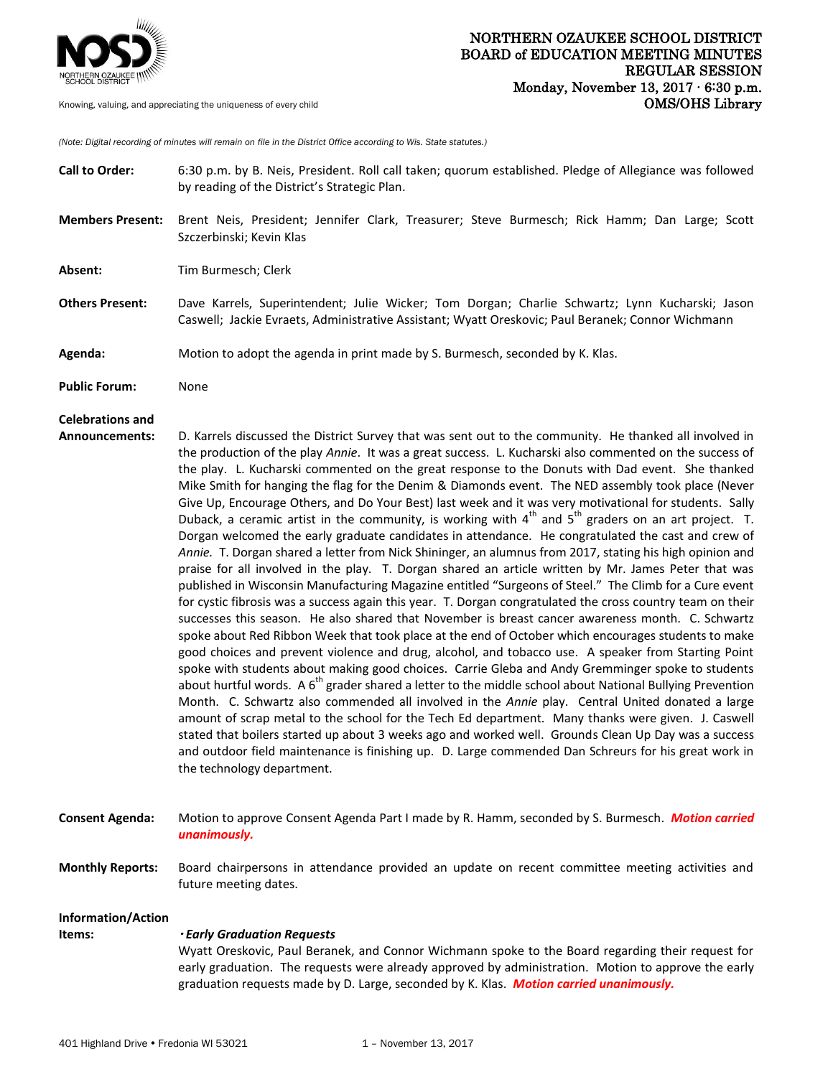

*(Note: Digital recording of minutes will remain on file in the District Office according to Wis. State statutes.)*

- **Call to Order:** 6:30 p.m. by B. Neis, President. Roll call taken; quorum established. Pledge of Allegiance was followed by reading of the District's Strategic Plan. **Members Present:** Brent Neis, President; Jennifer Clark, Treasurer; Steve Burmesch; Rick Hamm; Dan Large; Scott Szczerbinski; Kevin Klas **Absent:** Tim Burmesch; Clerk **Others Present:** Dave Karrels, Superintendent; Julie Wicker; Tom Dorgan; Charlie Schwartz; Lynn Kucharski; Jason Caswell; Jackie Evraets, Administrative Assistant; Wyatt Oreskovic; Paul Beranek; Connor Wichmann **Agenda:** Motion to adopt the agenda in print made by S. Burmesch, seconded by K. Klas. **Public Forum:** None **Celebrations and Announcements:** D. Karrels discussed the District Survey that was sent out to the community. He thanked all involved in the production of the play *Annie*. It was a great success. L. Kucharski also commented on the success of the play. L. Kucharski commented on the great response to the Donuts with Dad event. She thanked Mike Smith for hanging the flag for the Denim & Diamonds event. The NED assembly took place (Never Give Up, Encourage Others, and Do Your Best) last week and it was very motivational for students. Sally Duback, a ceramic artist in the community, is working with  $4<sup>th</sup>$  and  $5<sup>th</sup>$  graders on an art project. T. Dorgan welcomed the early graduate candidates in attendance. He congratulated the cast and crew of *Annie.* T. Dorgan shared a letter from Nick Shininger, an alumnus from 2017, stating his high opinion and praise for all involved in the play. T. Dorgan shared an article written by Mr. James Peter that was published in Wisconsin Manufacturing Magazine entitled "Surgeons of Steel." The Climb for a Cure event for cystic fibrosis was a success again this year. T. Dorgan congratulated the cross country team on their successes this season. He also shared that November is breast cancer awareness month. C. Schwartz spoke about Red Ribbon Week that took place at the end of October which encourages students to make good choices and prevent violence and drug, alcohol, and tobacco use. A speaker from Starting Point spoke with students about making good choices. Carrie Gleba and Andy Gremminger spoke to students about hurtful words. A  $6<sup>th</sup>$  grader shared a letter to the middle school about National Bullying Prevention Month. C. Schwartz also commended all involved in the *Annie* play. Central United donated a large amount of scrap metal to the school for the Tech Ed department. Many thanks were given. J. Caswell stated that boilers started up about 3 weeks ago and worked well. Grounds Clean Up Day was a success and outdoor field maintenance is finishing up. D. Large commended Dan Schreurs for his great work in the technology department. **Consent Agenda:** Motion to approve Consent Agenda Part I made by R. Hamm, seconded by S. Burmesch. *Motion carried*
- *unanimously.*
- **Monthly Reports:** Board chairpersons in attendance provided an update on recent committee meeting activities and future meeting dates.

## **Information/Action**

## **Items:**  *Early Graduation Requests*

 Wyatt Oreskovic, Paul Beranek, and Connor Wichmann spoke to the Board regarding their request for early graduation. The requests were already approved by administration. Motion to approve the early graduation requests made by D. Large, seconded by K. Klas. *Motion carried unanimously.*